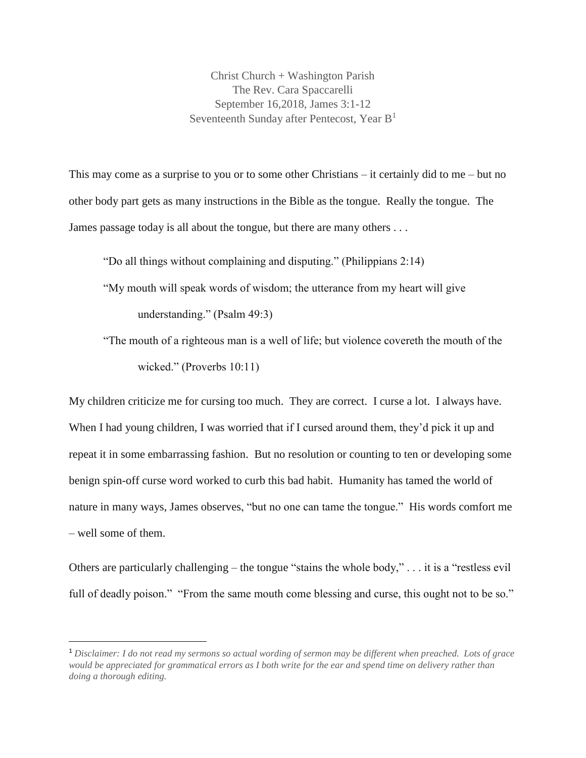Christ Church + Washington Parish The Rev. Cara Spaccarelli September 16,2018, James 3:1-12 Seventeenth Sunday after Pentecost, Year  $B<sup>1</sup>$ 

This may come as a surprise to you or to some other Christians – it certainly did to me – but no other body part gets as many instructions in the Bible as the tongue. Really the tongue. The James passage today is all about the tongue, but there are many others . . .

"Do all things without complaining and disputing." (Philippians 2:14) "My mouth will speak words of wisdom; the utterance from my heart will give

understanding." (Psalm 49:3)

 $\overline{a}$ 

"The mouth of a righteous man is a well of life; but violence covereth the mouth of the wicked." (Proverbs 10:11)

My children criticize me for cursing too much. They are correct. I curse a lot. I always have. When I had young children, I was worried that if I cursed around them, they'd pick it up and repeat it in some embarrassing fashion. But no resolution or counting to ten or developing some benign spin-off curse word worked to curb this bad habit. Humanity has tamed the world of nature in many ways, James observes, "but no one can tame the tongue." His words comfort me – well some of them.

Others are particularly challenging – the tongue "stains the whole body," . . . it is a "restless evil full of deadly poison." "From the same mouth come blessing and curse, this ought not to be so."

<sup>1</sup> *Disclaimer: I do not read my sermons so actual wording of sermon may be different when preached. Lots of grace would be appreciated for grammatical errors as I both write for the ear and spend time on delivery rather than doing a thorough editing.*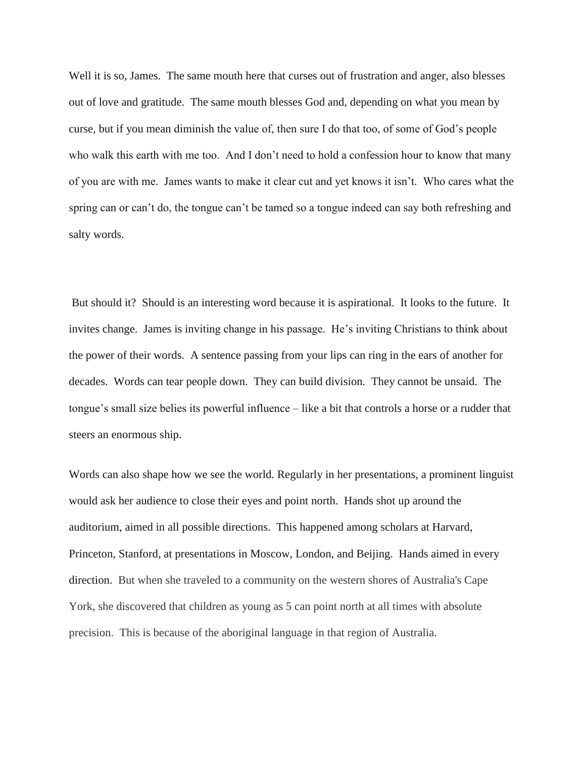Well it is so, James. The same mouth here that curses out of frustration and anger, also blesses out of love and gratitude. The same mouth blesses God and, depending on what you mean by curse, but if you mean diminish the value of, then sure I do that too, of some of God's people who walk this earth with me too. And I don't need to hold a confession hour to know that many of you are with me. James wants to make it clear cut and yet knows it isn't. Who cares what the spring can or can't do, the tongue can't be tamed so a tongue indeed can say both refreshing and salty words.

But should it? Should is an interesting word because it is aspirational. It looks to the future. It invites change. James is inviting change in his passage. He's inviting Christians to think about the power of their words. A sentence passing from your lips can ring in the ears of another for decades. Words can tear people down. They can build division. They cannot be unsaid. The tongue's small size belies its powerful influence – like a bit that controls a horse or a rudder that steers an enormous ship.

Words can also shape how we see the world. Regularly in her presentations, a prominent linguist would ask her audience to close their eyes and point north. Hands shot up around the auditorium, aimed in all possible directions. This happened among scholars at Harvard, Princeton, Stanford, at presentations in Moscow, London, and Beijing. Hands aimed in every direction. But when she traveled to a community on the western shores of Australia's Cape York, she discovered that children as young as 5 can point north at all times with absolute precision. This is because of the aboriginal language in that region of Australia.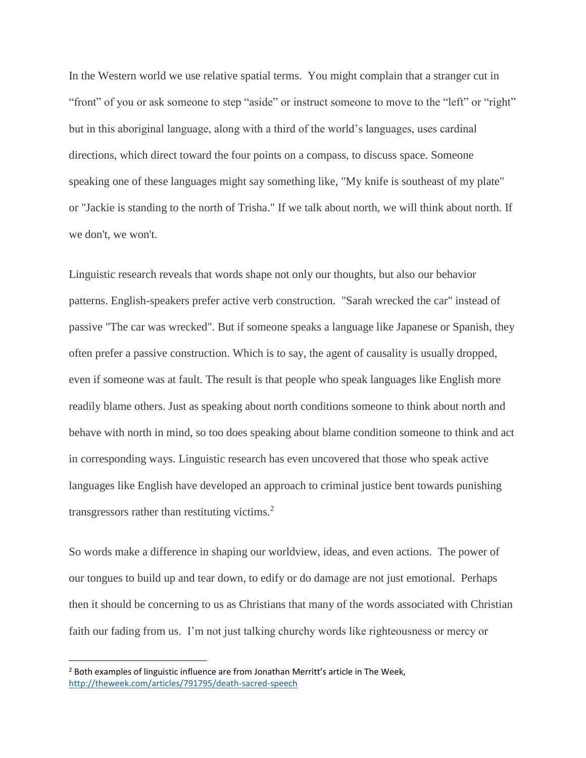In the Western world we use relative spatial terms. You might complain that a stranger cut in "front" of you or ask someone to step "aside" or instruct someone to move to the "left" or "right" but in this aboriginal language, along with a third of the world's languages, uses cardinal directions, which direct toward the four points on a compass, to discuss space. Someone speaking one of these languages might say something like, "My knife is southeast of my plate" or "Jackie is standing to the north of Trisha." If we talk about north, we will think about north. If we don't, we won't.

Linguistic research reveals that words shape not only our thoughts, but also our behavior patterns. English-speakers prefer active verb construction. "Sarah wrecked the car" instead of passive "The car was wrecked". But if someone speaks a language like Japanese or Spanish, they often prefer a passive construction. Which is to say, the agent of causality is usually dropped, even if someone was at fault. The result is that people who speak languages like English more readily blame others. Just as speaking about north conditions someone to think about north and behave with north in mind, so too does speaking about blame condition someone to think and act in corresponding ways. Linguistic research has even uncovered that those who speak active languages like English have developed an approach to criminal justice bent towards punishing transgressors rather than restituting victims. $2$ 

So words make a difference in shaping our worldview, ideas, and even actions. The power of our tongues to build up and tear down, to edify or do damage are not just emotional. Perhaps then it should be concerning to us as Christians that many of the words associated with Christian faith our fading from us. I'm not just talking churchy words like righteousness or mercy or

 $\overline{\phantom{a}}$ 

 $<sup>2</sup>$  Both examples of linguistic influence are from Jonathan Merritt's article in The Week,</sup> <http://theweek.com/articles/791795/death-sacred-speech>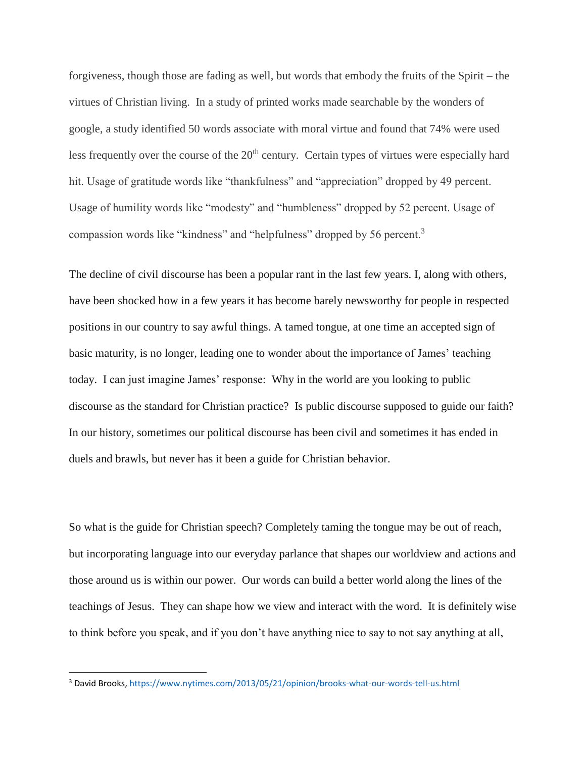forgiveness, though those are fading as well, but words that embody the fruits of the Spirit – the virtues of Christian living. In a study of printed works made searchable by the wonders of google, a study identified 50 words associate with moral virtue and found that 74% were used less frequently over the course of the  $20<sup>th</sup>$  century. Certain types of virtues were especially hard hit. Usage of gratitude words like "thankfulness" and "appreciation" dropped by 49 percent. Usage of humility words like "modesty" and "humbleness" dropped by 52 percent. Usage of compassion words like "kindness" and "helpfulness" dropped by 56 percent.<sup>3</sup>

The decline of civil discourse has been a popular rant in the last few years. I, along with others, have been shocked how in a few years it has become barely newsworthy for people in respected positions in our country to say awful things. A tamed tongue, at one time an accepted sign of basic maturity, is no longer, leading one to wonder about the importance of James' teaching today. I can just imagine James' response: Why in the world are you looking to public discourse as the standard for Christian practice? Is public discourse supposed to guide our faith? In our history, sometimes our political discourse has been civil and sometimes it has ended in duels and brawls, but never has it been a guide for Christian behavior.

So what is the guide for Christian speech? Completely taming the tongue may be out of reach, but incorporating language into our everyday parlance that shapes our worldview and actions and those around us is within our power. Our words can build a better world along the lines of the teachings of Jesus. They can shape how we view and interact with the word. It is definitely wise to think before you speak, and if you don't have anything nice to say to not say anything at all,

 $\overline{\phantom{a}}$ 

<sup>3</sup> David Brooks[, https://www.nytimes.com/2013/05/21/opinion/brooks-what-our-words-tell-us.html](https://www.nytimes.com/2013/05/21/opinion/brooks-what-our-words-tell-us.html)